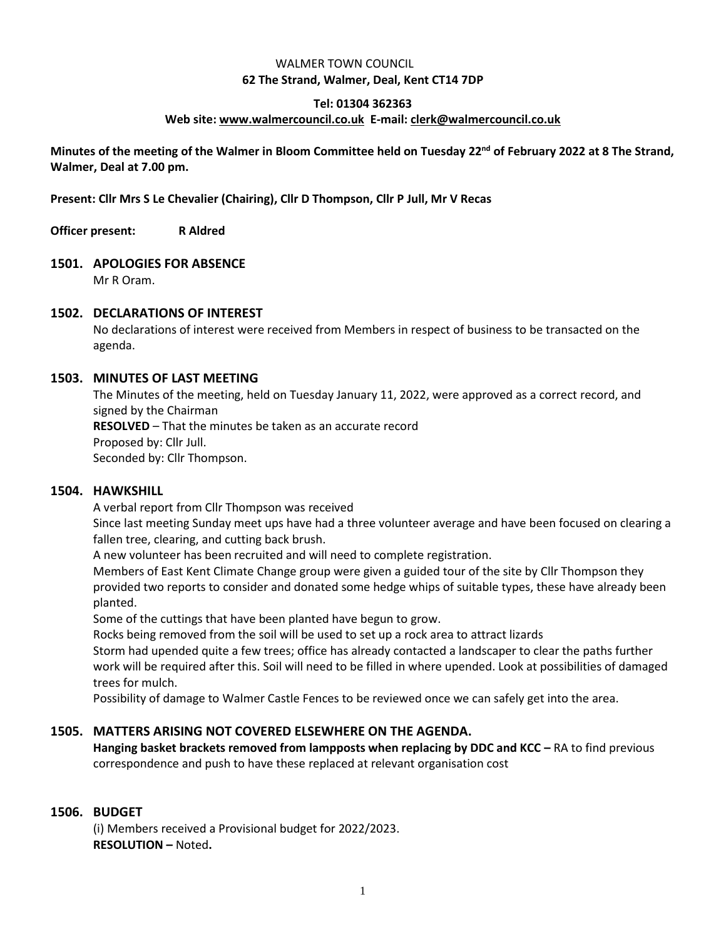## WALMER TOWN COUNCIL **62 The Strand, Walmer, Deal, Kent CT14 7DP**

# **Tel: 01304 362363**

#### **Web site: [www.walmercouncil.co.uk](http://www.walmercouncil.co.uk/) E-mail[: clerk@walmercouncil.co.uk](mailto:clerk@walmercouncil.co.uk)**

**Minutes of the meeting of the Walmer in Bloom Committee held on Tuesday 22nd of February 2022 at 8 The Strand, Walmer, Deal at 7.00 pm.**

**Present: Cllr Mrs S Le Chevalier (Chairing), Cllr D Thompson, Cllr P Jull, Mr V Recas**

**Officer present: R Aldred**

# **1501. APOLOGIES FOR ABSENCE**

Mr R Oram.

# **1502. DECLARATIONS OF INTEREST**

No declarations of interest were received from Members in respect of business to be transacted on the agenda.

# **1503. MINUTES OF LAST MEETING**

The Minutes of the meeting, held on Tuesday January 11, 2022, were approved as a correct record, and signed by the Chairman **RESOLVED** – That the minutes be taken as an accurate record Proposed by: Cllr Jull. Seconded by: Cllr Thompson.

#### **1504. HAWKSHILL**

A verbal report from Cllr Thompson was received

Since last meeting Sunday meet ups have had a three volunteer average and have been focused on clearing a fallen tree, clearing, and cutting back brush.

A new volunteer has been recruited and will need to complete registration.

Members of East Kent Climate Change group were given a guided tour of the site by Cllr Thompson they provided two reports to consider and donated some hedge whips of suitable types, these have already been planted.

Some of the cuttings that have been planted have begun to grow.

Rocks being removed from the soil will be used to set up a rock area to attract lizards

Storm had upended quite a few trees; office has already contacted a landscaper to clear the paths further work will be required after this. Soil will need to be filled in where upended. Look at possibilities of damaged trees for mulch.

Possibility of damage to Walmer Castle Fences to be reviewed once we can safely get into the area.

# **1505. MATTERS ARISING NOT COVERED ELSEWHERE ON THE AGENDA.**

**Hanging basket brackets removed from lampposts when replacing by DDC and KCC – RA to find previous** correspondence and push to have these replaced at relevant organisation cost

# **1506. BUDGET**

(i) Members received a Provisional budget for 2022/2023. **RESOLUTION –** Noted**.**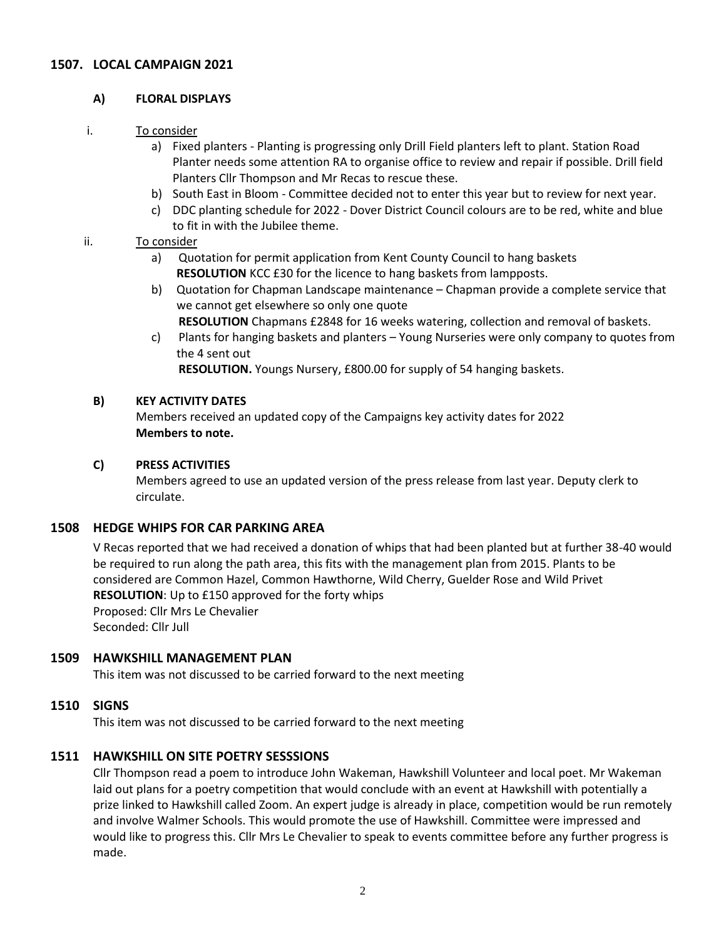# **1507. LOCAL CAMPAIGN 2021**

## **A) FLORAL DISPLAYS**

## i. To consider

- a) Fixed planters Planting is progressing only Drill Field planters left to plant. Station Road Planter needs some attention RA to organise office to review and repair if possible. Drill field Planters Cllr Thompson and Mr Recas to rescue these.
- b) South East in Bloom Committee decided not to enter this year but to review for next year.
- c) DDC planting schedule for 2022 Dover District Council colours are to be red, white and blue to fit in with the Jubilee theme.

# ii. To consider

- a) Quotation for permit application from Kent County Council to hang baskets **RESOLUTION** KCC £30 for the licence to hang baskets from lampposts.
- b) Quotation for Chapman Landscape maintenance Chapman provide a complete service that we cannot get elsewhere so only one quote
	- **RESOLUTION** Chapmans £2848 for 16 weeks watering, collection and removal of baskets.
- c) Plants for hanging baskets and planters Young Nurseries were only company to quotes from the 4 sent out **RESOLUTION.** Youngs Nursery, £800.00 for supply of 54 hanging baskets.

## **B) KEY ACTIVITY DATES**

Members received an updated copy of the Campaigns key activity dates for 2022 **Members to note.**

# **C) PRESS ACTIVITIES**

Members agreed to use an updated version of the press release from last year. Deputy clerk to circulate.

# **1508 HEDGE WHIPS FOR CAR PARKING AREA**

V Recas reported that we had received a donation of whips that had been planted but at further 38-40 would be required to run along the path area, this fits with the management plan from 2015. Plants to be considered are Common Hazel, Common Hawthorne, Wild Cherry, Guelder Rose and Wild Privet **RESOLUTION**: Up to £150 approved for the forty whips Proposed: Cllr Mrs Le Chevalier Seconded: Cllr Jull

#### **1509 HAWKSHILL MANAGEMENT PLAN**

This item was not discussed to be carried forward to the next meeting

#### **1510 SIGNS**

This item was not discussed to be carried forward to the next meeting

# **1511 HAWKSHILL ON SITE POETRY SESSSIONS**

Cllr Thompson read a poem to introduce John Wakeman, Hawkshill Volunteer and local poet. Mr Wakeman laid out plans for a poetry competition that would conclude with an event at Hawkshill with potentially a prize linked to Hawkshill called Zoom. An expert judge is already in place, competition would be run remotely and involve Walmer Schools. This would promote the use of Hawkshill. Committee were impressed and would like to progress this. Cllr Mrs Le Chevalier to speak to events committee before any further progress is made.